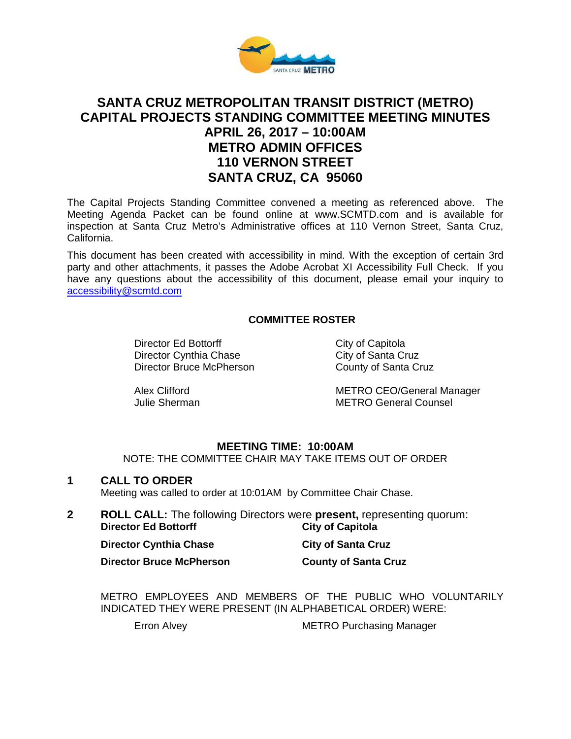

# **SANTA CRUZ METROPOLITAN TRANSIT DISTRICT (METRO) CAPITAL PROJECTS STANDING COMMITTEE MEETING MINUTES APRIL 26, 2017 – 10:00AM METRO ADMIN OFFICES 110 VERNON STREET SANTA CRUZ, CA 95060**

The Capital Projects Standing Committee convened a meeting as referenced above. The Meeting Agenda Packet can be found online at www.SCMTD.com and is available for inspection at Santa Cruz Metro's Administrative offices at 110 Vernon Street, Santa Cruz, California.

This document has been created with accessibility in mind. With the exception of certain 3rd party and other attachments, it passes the Adobe Acrobat XI Accessibility Full Check. If you have any questions about the accessibility of this document, please email your inquiry to [accessibility@scmtd.com](mailto:accessibility@scmtd.com)

# **COMMITTEE ROSTER**

Director Ed Bottorff City of Capitola Director Cynthia Chase City of Santa Cruz Director Bruce McPherson County of Santa Cruz

Alex Clifford METRO CEO/General Manager Julie Sherman METRO General Counsel

### **MEETING TIME: 10:00AM**

NOTE: THE COMMITTEE CHAIR MAY TAKE ITEMS OUT OF ORDER

### **1 CALL TO ORDER**

Meeting was called to order at 10:01AM by Committee Chair Chase.

**2 ROLL CALL:** The following Directors were **present,** representing quorum: **Director Ed Bottorff** 

| <b>Director Cynthia Chase</b>   | <b>City of Santa Cruz</b>   |
|---------------------------------|-----------------------------|
| <b>Director Bruce McPherson</b> | <b>County of Santa Cruz</b> |

METRO EMPLOYEES AND MEMBERS OF THE PUBLIC WHO VOLUNTARILY INDICATED THEY WERE PRESENT (IN ALPHABETICAL ORDER) WERE:

Erron Alvey **METRO Purchasing Manager**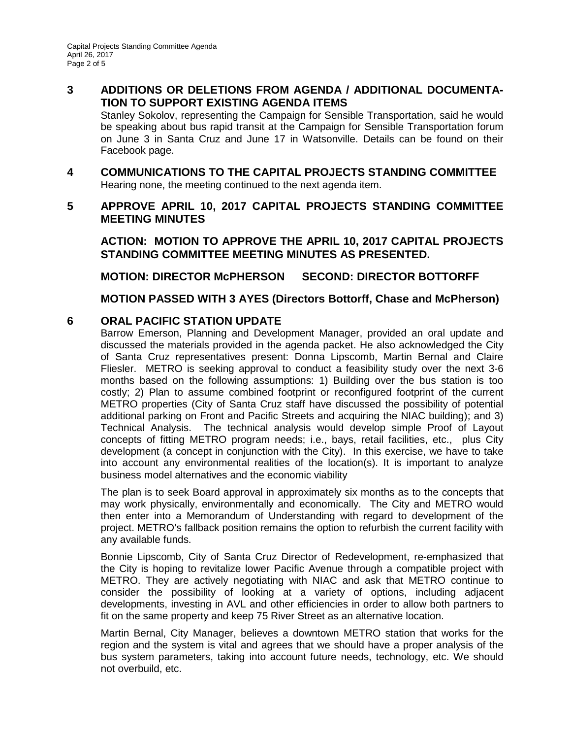# **3 ADDITIONS OR DELETIONS FROM AGENDA / ADDITIONAL DOCUMENTA-TION TO SUPPORT EXISTING AGENDA ITEMS**

Stanley Sokolov, representing the Campaign for Sensible Transportation, said he would be speaking about bus rapid transit at the Campaign for Sensible Transportation forum on June 3 in Santa Cruz and June 17 in Watsonville. Details can be found on their Facebook page.

**4 COMMUNICATIONS TO THE CAPITAL PROJECTS STANDING COMMITTEE** Hearing none, the meeting continued to the next agenda item.

# **5 APPROVE APRIL 10, 2017 CAPITAL PROJECTS STANDING COMMITTEE MEETING MINUTES**

**ACTION: MOTION TO APPROVE THE APRIL 10, 2017 CAPITAL PROJECTS STANDING COMMITTEE MEETING MINUTES AS PRESENTED.** 

**MOTION: DIRECTOR McPHERSON SECOND: DIRECTOR BOTTORFF**

**MOTION PASSED WITH 3 AYES (Directors Bottorff, Chase and McPherson)** 

# **6 ORAL PACIFIC STATION UPDATE**

Barrow Emerson, Planning and Development Manager, provided an oral update and discussed the materials provided in the agenda packet. He also acknowledged the City of Santa Cruz representatives present: Donna Lipscomb, Martin Bernal and Claire Fliesler. METRO is seeking approval to conduct a feasibility study over the next 3-6 months based on the following assumptions: 1) Building over the bus station is too costly; 2) Plan to assume combined footprint or reconfigured footprint of the current METRO properties (City of Santa Cruz staff have discussed the possibility of potential additional parking on Front and Pacific Streets and acquiring the NIAC building); and 3) Technical Analysis. The technical analysis would develop simple Proof of Layout concepts of fitting METRO program needs; i.e., bays, retail facilities, etc., plus City development (a concept in conjunction with the City). In this exercise, we have to take into account any environmental realities of the location(s). It is important to analyze business model alternatives and the economic viability

The plan is to seek Board approval in approximately six months as to the concepts that may work physically, environmentally and economically. The City and METRO would then enter into a Memorandum of Understanding with regard to development of the project. METRO's fallback position remains the option to refurbish the current facility with any available funds.

Bonnie Lipscomb, City of Santa Cruz Director of Redevelopment, re-emphasized that the City is hoping to revitalize lower Pacific Avenue through a compatible project with METRO. They are actively negotiating with NIAC and ask that METRO continue to consider the possibility of looking at a variety of options, including adjacent developments, investing in AVL and other efficiencies in order to allow both partners to fit on the same property and keep 75 River Street as an alternative location.

Martin Bernal, City Manager, believes a downtown METRO station that works for the region and the system is vital and agrees that we should have a proper analysis of the bus system parameters, taking into account future needs, technology, etc. We should not overbuild, etc.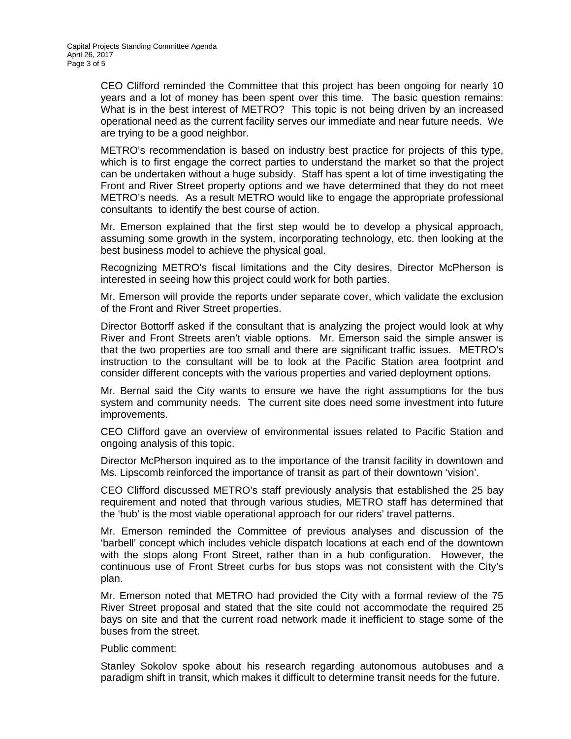CEO Clifford reminded the Committee that this project has been ongoing for nearly 10 years and a lot of money has been spent over this time. The basic question remains: What is in the best interest of METRO? This topic is not being driven by an increased operational need as the current facility serves our immediate and near future needs. We are trying to be a good neighbor.

METRO's recommendation is based on industry best practice for projects of this type, which is to first engage the correct parties to understand the market so that the project can be undertaken without a huge subsidy. Staff has spent a lot of time investigating the Front and River Street property options and we have determined that they do not meet METRO's needs. As a result METRO would like to engage the appropriate professional consultants to identify the best course of action.

Mr. Emerson explained that the first step would be to develop a physical approach, assuming some growth in the system, incorporating technology, etc. then looking at the best business model to achieve the physical goal.

Recognizing METRO's fiscal limitations and the City desires, Director McPherson is interested in seeing how this project could work for both parties.

Mr. Emerson will provide the reports under separate cover, which validate the exclusion of the Front and River Street properties.

Director Bottorff asked if the consultant that is analyzing the project would look at why River and Front Streets aren't viable options. Mr. Emerson said the simple answer is that the two properties are too small and there are significant traffic issues. METRO's instruction to the consultant will be to look at the Pacific Station area footprint and consider different concepts with the various properties and varied deployment options.

Mr. Bernal said the City wants to ensure we have the right assumptions for the bus system and community needs. The current site does need some investment into future improvements.

CEO Clifford gave an overview of environmental issues related to Pacific Station and ongoing analysis of this topic.

Director McPherson inquired as to the importance of the transit facility in downtown and Ms. Lipscomb reinforced the importance of transit as part of their downtown 'vision'.

CEO Clifford discussed METRO's staff previously analysis that established the 25 bay requirement and noted that through various studies, METRO staff has determined that the 'hub' is the most viable operational approach for our riders' travel patterns.

Mr. Emerson reminded the Committee of previous analyses and discussion of the 'barbell' concept which includes vehicle dispatch locations at each end of the downtown with the stops along Front Street, rather than in a hub configuration. However, the continuous use of Front Street curbs for bus stops was not consistent with the City's plan.

Mr. Emerson noted that METRO had provided the City with a formal review of the 75 River Street proposal and stated that the site could not accommodate the required 25 bays on site and that the current road network made it inefficient to stage some of the buses from the street.

#### Public comment:

Stanley Sokolov spoke about his research regarding autonomous autobuses and a paradigm shift in transit, which makes it difficult to determine transit needs for the future.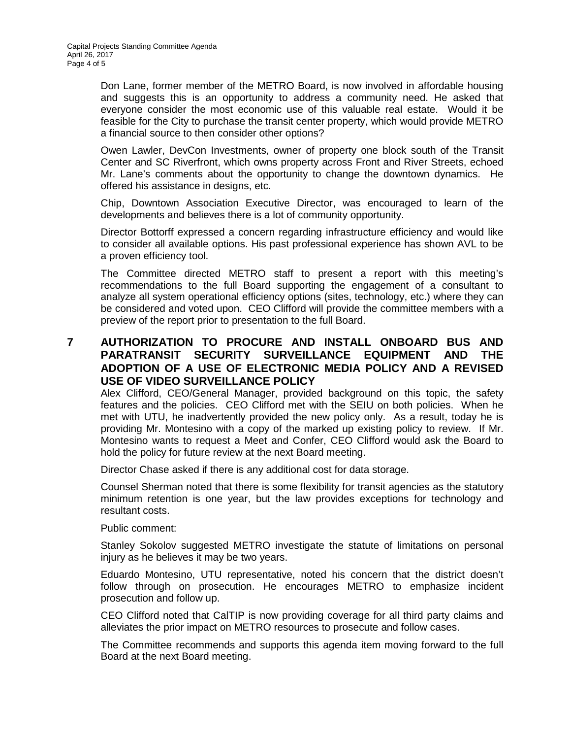Don Lane, former member of the METRO Board, is now involved in affordable housing and suggests this is an opportunity to address a community need. He asked that everyone consider the most economic use of this valuable real estate. Would it be feasible for the City to purchase the transit center property, which would provide METRO a financial source to then consider other options?

Owen Lawler, DevCon Investments, owner of property one block south of the Transit Center and SC Riverfront, which owns property across Front and River Streets, echoed Mr. Lane's comments about the opportunity to change the downtown dynamics. He offered his assistance in designs, etc.

Chip, Downtown Association Executive Director, was encouraged to learn of the developments and believes there is a lot of community opportunity.

Director Bottorff expressed a concern regarding infrastructure efficiency and would like to consider all available options. His past professional experience has shown AVL to be a proven efficiency tool.

The Committee directed METRO staff to present a report with this meeting's recommendations to the full Board supporting the engagement of a consultant to analyze all system operational efficiency options (sites, technology, etc.) where they can be considered and voted upon. CEO Clifford will provide the committee members with a preview of the report prior to presentation to the full Board.

# **7 AUTHORIZATION TO PROCURE AND INSTALL ONBOARD BUS AND PARATRANSIT SECURITY SURVEILLANCE EQUIPMENT AND THE ADOPTION OF A USE OF ELECTRONIC MEDIA POLICY AND A REVISED USE OF VIDEO SURVEILLANCE POLICY**

Alex Clifford, CEO/General Manager, provided background on this topic, the safety features and the policies. CEO Clifford met with the SEIU on both policies. When he met with UTU, he inadvertently provided the new policy only. As a result, today he is providing Mr. Montesino with a copy of the marked up existing policy to review. If Mr. Montesino wants to request a Meet and Confer, CEO Clifford would ask the Board to hold the policy for future review at the next Board meeting.

Director Chase asked if there is any additional cost for data storage.

Counsel Sherman noted that there is some flexibility for transit agencies as the statutory minimum retention is one year, but the law provides exceptions for technology and resultant costs.

Public comment:

Stanley Sokolov suggested METRO investigate the statute of limitations on personal injury as he believes it may be two years.

Eduardo Montesino, UTU representative, noted his concern that the district doesn't follow through on prosecution. He encourages METRO to emphasize incident prosecution and follow up.

CEO Clifford noted that CalTIP is now providing coverage for all third party claims and alleviates the prior impact on METRO resources to prosecute and follow cases.

The Committee recommends and supports this agenda item moving forward to the full Board at the next Board meeting.